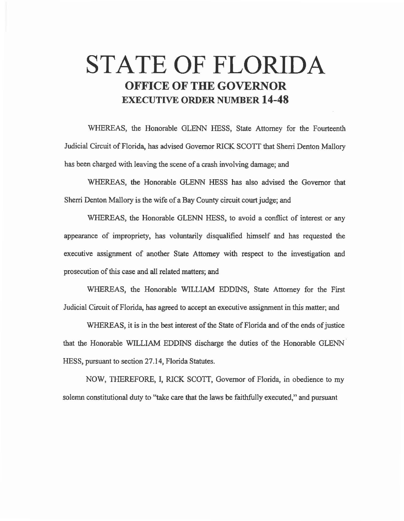# **STATE OF FLORIDA OFFICE OF THE GOVERNOR EXECUTIVE ORDER NUMBER 14-48**

WHEREAS, the Honorable GLENN HESS, State Attorney for the Fourteenth Judicial Circuit of Florida, has advised Governor RICK SCOIT that Sherri Denton Mallory has been charged with leaving the scene of a crash involving damage; and

WHEREAS, the Honorable GLENN HESS has also advised the Governor that Sherri Denton Mallory is the wife of a Bay County circuit court judge; and

WHEREAS, the Honorable GLENN HESS, to avoid a conflict of interest or any appearance of impropriety, has voluntarily disqualified himself and has requested the executive assignment of another State Attorney with respect to the investigation and prosecution of this case and all related matters; and

WHEREAS, the Honorable WILLIAM EDDINS, State Attorney for the First Judicial Circuit of Florida, has agreed to accept an executive assignment in this matter; and

WHEREAS, it is in the best interest of the State of Florida and of the ends of justice that the Honorable WILLIAM EDDINS discharge the duties of the Honorable GLENN HESS, pursuant to section 27.14, Florida Statutes.

NOW, THEREFORE, I, RICK SCOTT, Governor of Florida, in obedience to my solemn constitutional duty to "take care that the laws be faithfully executed," and pursuant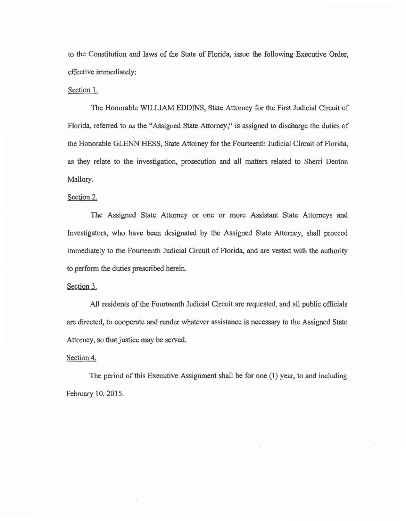to the Constitution and laws of the State of Florida, issue the following Executive Order, effective immediately:

## Section 1.

The Honorable WILLIAM EDDINS, State Attorney for the First Judicial Circuit of Florida, referred to as the "Assigned State Attorney," is assigned to discharge the duties of the Honorable GLENN HESS, State Attorney for the Fourteenth Judicial Circuit of Florida, as they relate to the investigation, prosecution and all matters related to Sherri Denton Mallory.

## Section 2.

The Assigned State Attorney or one or more Assistant State Attorneys and Investigators, who have been designated by the Assigned State Attorney, shall proceed immediately to the Fourteenth Judicial Circuit of Florida, and are vested with the authority to perform the duties prescribed herein.

### Section 3.

All residents of the Fourteenth Judicial Circuit are requested, and all public officials are directed, to cooperate and render whatever assistance is necessary to the Assigned State Attorney, so that justice may be served.

### Section 4.

The period of this Executive Assignment shall be for one (I) year, to and including February 10, 2015.